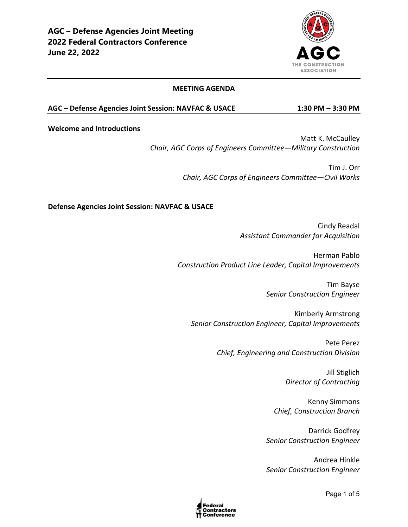

#### **MEETING AGENDA**

#### **AGC – Defense Agencies Joint Session: NAVFAC & USACE 1:30 PM – 3:30 PM**

**Welcome and Introductions**

Matt K. McCaulley *Chair, AGC Corps of Engineers Committee—Military Construction* 

> Tim J. Orr *Chair, AGC Corps of Engineers Committee—Civil Works*

### **Defense Agencies Joint Session: NAVFAC & USACE**

Cindy Readal *Assistant Commander for Acquisition*

Herman Pablo *Construction Product Line Leader, Capital Improvements*

> Tim Bayse *Senior Construction Engineer*

Kimberly Armstrong *Senior Construction Engineer, Capital Improvements*

> Pete Perez *Chief, Engineering and Construction Division*

> > Jill Stiglich *Director of Contracting*

Kenny Simmons *Chief, Construction Branch*

Darrick Godfrey *Senior Construction Engineer*

Andrea Hinkle *Senior Construction Engineer*

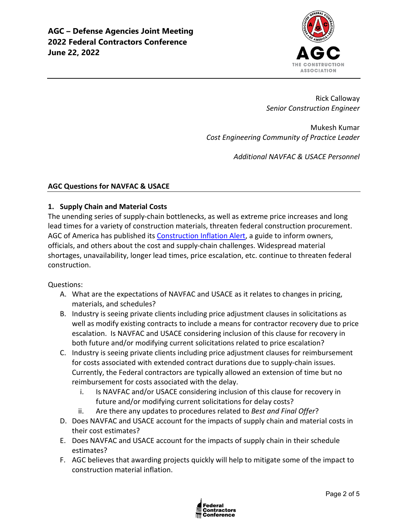

Rick Calloway *Senior Construction Engineer*

Mukesh Kumar *Cost Engineering Community of Practice Leader*

*Additional NAVFAC & USACE Personnel*

## **AGC Questions for NAVFAC & USACE**

## **1. Supply Chain and Material Costs**

The unending series of supply-chain bottlenecks, as well as extreme price increases and long lead times for a variety of construction materials, threaten federal construction procurement. AGC of America has published its [Construction Inflation Alert,](https://www.agc.org/learn/construction-data/agc-construction-inflation-alert) a guide to inform owners, officials, and others about the cost and supply-chain challenges. Widespread material shortages, unavailability, longer lead times, price escalation, etc. continue to threaten federal construction.

### Questions:

- A. What are the expectations of NAVFAC and USACE as it relates to changes in pricing, materials, and schedules?
- B. Industry is seeing private clients including price adjustment clauses in solicitations as well as modify existing contracts to include a means for contractor recovery due to price escalation. Is NAVFAC and USACE considering inclusion of this clause for recovery in both future and/or modifying current solicitations related to price escalation?
- C. Industry is seeing private clients including price adjustment clauses for reimbursement for costs associated with extended contract durations due to supply-chain issues. Currently, the Federal contractors are typically allowed an extension of time but no reimbursement for costs associated with the delay.
	- i. Is NAVFAC and/or USACE considering inclusion of this clause for recovery in future and/or modifying current solicitations for delay costs?
	- ii. Are there any updates to procedures related to *Best and Final Offer*?
- D. Does NAVFAC and USACE account for the impacts of supply chain and material costs in their cost estimates?
- E. Does NAVFAC and USACE account for the impacts of supply chain in their schedule estimates?
- F. AGC believes that awarding projects quickly will help to mitigate some of the impact to construction material inflation.

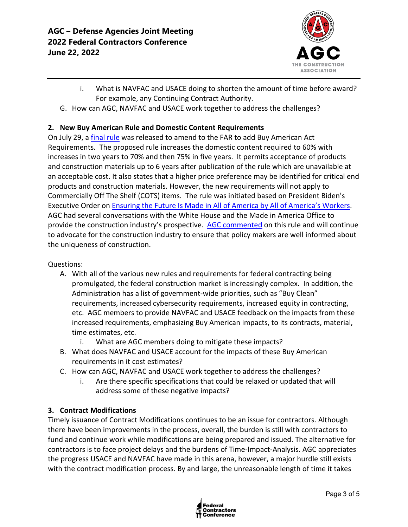

- i. What is NAVFAC and USACE doing to shorten the amount of time before award? For example, any Continuing Contract Authority.
- G. How can AGC, NAVFAC and USACE work together to address the challenges?

# **2. New Buy American Rule and Domestic Content Requirements**

On July 29, a [final rule](https://www.regulations.gov/document/FAR-2021-0008-0074) was released to amend to the FAR to add Buy American Act Requirements. The proposed rule increases the domestic content required to 60% with increases in two years to 70% and then 75% in five years. It permits acceptance of products and construction materials up to 6 years after publication of the rule which are unavailable at an acceptable cost. It also states that a higher price preference may be identified for critical end products and construction materials. However, the new requirements will not apply to Commercially Off The Shelf (COTS) items. The rule was initiated based on President Biden's Executive Order on [Ensuring the Future Is Made in All of America by All of America's Workers.](https://www.whitehouse.gov/briefing-room/presidential-actions/2021/01/25/executive-order-on-ensuring-the-future-is-made-in-all-of-america-by-all-of-americas-workers/) AGC had several conversations with the White House and the Made in America Office to provide the construction industry's prospective. [AGC commented](https://www.regulations.gov/comment/FAR-2021-0008-0008) on this rule and will continue to advocate for the construction industry to ensure that policy makers are well informed about the uniqueness of construction.

Questions:

- A. With all of the various new rules and requirements for federal contracting being promulgated, the federal construction market is increasingly complex. In addition, the Administration has a list of government-wide priorities, such as "Buy Clean" requirements, increased cybersecurity requirements, increased equity in contracting, etc. AGC members to provide NAVFAC and USACE feedback on the impacts from these increased requirements, emphasizing Buy American impacts, to its contracts, material, time estimates, etc.
	- i. What are AGC members doing to mitigate these impacts?
- B. What does NAVFAC and USACE account for the impacts of these Buy American requirements in it cost estimates?
- C. How can AGC, NAVFAC and USACE work together to address the challenges?
	- i. Are there specific specifications that could be relaxed or updated that will address some of these negative impacts?

# **3. Contract Modifications**

Timely issuance of Contract Modifications continues to be an issue for contractors. Although there have been improvements in the process, overall, the burden is still with contractors to fund and continue work while modifications are being prepared and issued. The alternative for contractors is to face project delays and the burdens of Time-Impact-Analysis. AGC appreciates the progress USACE and NAVFAC have made in this arena, however, a major hurdle still exists with the contract modification process. By and large, the unreasonable length of time it takes

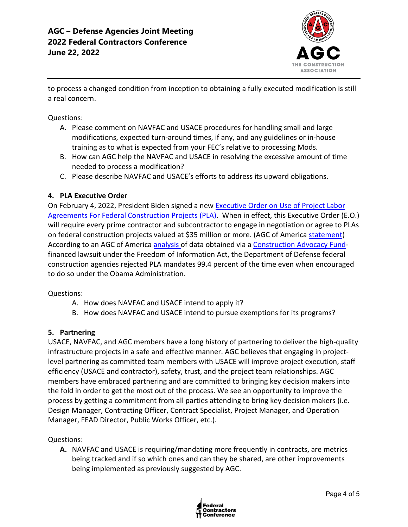

to process a changed condition from inception to obtaining a fully executed modification is still a real concern.

Questions:

- A. Please comment on NAVFAC and USACE procedures for handling small and large modifications, expected turn-around times, if any, and any guidelines or in-house training as to what is expected from your FEC's relative to processing Mods.
- B. How can AGC help the NAVFAC and USACE in resolving the excessive amount of time needed to process a modification?
- C. Please describe NAVFAC and USACE's efforts to address its upward obligations.

## **4. PLA Executive Order**

On February 4, 2022, President Biden signed a new [Executive Order on Use of Project Labor](https://nam12.safelinks.protection.outlook.com/?url=https%3A%2F%2Fwww.whitehouse.gov%2Fbriefing-room%2Fpresidential-actions%2F2022%2F02%2F04%2Fexecutive-order-on-use-of-project-labor-agreements-for-federal-construction-projects%2F&data=04%7C01%7Cjimmy.christianson%40agc.org%7C9a54ffe1775c4b33b2e708d9e8301d61%7C4602d740c1bb4d33b33a435efb6aa1bd%7C0%7C0%7C637796115617974723%7CUnknown%7CTWFpbGZsb3d8eyJWIjoiMC4wLjAwMDAiLCJQIjoiV2luMzIiLCJBTiI6Ik1haWwiLCJXVCI6Mn0%3D%7C3000&sdata=3UwKG%2FHFXcoGKt%2B802izNRlIVSQtUbx7E4yOMXgBSQs%3D&reserved=0)  [Agreements For Federal Construction Projects \(PLA\).](https://nam12.safelinks.protection.outlook.com/?url=https%3A%2F%2Fwww.whitehouse.gov%2Fbriefing-room%2Fpresidential-actions%2F2022%2F02%2F04%2Fexecutive-order-on-use-of-project-labor-agreements-for-federal-construction-projects%2F&data=04%7C01%7Cjimmy.christianson%40agc.org%7C9a54ffe1775c4b33b2e708d9e8301d61%7C4602d740c1bb4d33b33a435efb6aa1bd%7C0%7C0%7C637796115617974723%7CUnknown%7CTWFpbGZsb3d8eyJWIjoiMC4wLjAwMDAiLCJQIjoiV2luMzIiLCJBTiI6Ik1haWwiLCJXVCI6Mn0%3D%7C3000&sdata=3UwKG%2FHFXcoGKt%2B802izNRlIVSQtUbx7E4yOMXgBSQs%3D&reserved=0) When in effect, this Executive Order (E.O.) will require every prime contractor and subcontractor to engage in negotiation or agree to PLAs on federal construction projects valued at \$35 million or more. (AGC of America [statement\)](https://www.agc.org/news/2022/02/04/biden-order-imposing-project-labor-agreements-federal-projects-will-inflate-construction-costs) According to an AGC of America [analysis o](https://www.agc.org/sites/default/files/Files/communications/New_Data_Weighs_on_Debate_Over_Project_Labor_Agreements.pdf)f data obtained via a [Construction Advocacy Fund](https://constructionadvocacyfund.agc.org/?_zs=3Onnc1&_zl=qrBB8)financed lawsuit under the Freedom of Information Act, the Department of Defense federal construction agencies rejected PLA mandates 99.4 percent of the time even when encouraged to do so under the Obama Administration.

Questions:

- A. How does NAVFAC and USACE intend to apply it?
- B. How does NAVFAC and USACE intend to pursue exemptions for its programs?

### **5. Partnering**

USACE, NAVFAC, and AGC members have a long history of partnering to deliver the high-quality infrastructure projects in a safe and effective manner. AGC believes that engaging in projectlevel partnering as committed team members with USACE will improve project execution, staff efficiency (USACE and contractor), safety, trust, and the project team relationships. AGC members have embraced partnering and are committed to bringing key decision makers into the fold in order to get the most out of the process. We see an opportunity to improve the process by getting a commitment from all parties attending to bring key decision makers (i.e. Design Manager, Contracting Officer, Contract Specialist, Project Manager, and Operation Manager, FEAD Director, Public Works Officer, etc.).

Questions:

**A.** NAVFAC and USACE is requiring/mandating more frequently in contracts, are metrics being tracked and if so which ones and can they be shared, are other improvements being implemented as previously suggested by AGC.